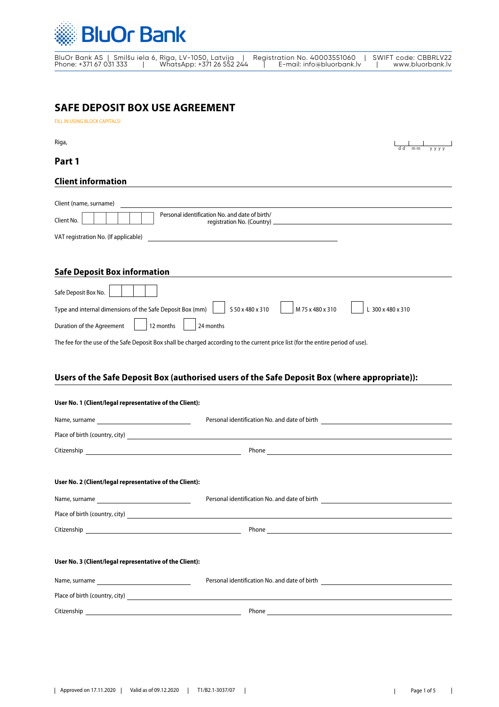

BluOr Bank AS | Smilšu iela 6, Rīga, LV-1050, Latvija | Registration No. 40003551060 | SWIFT code: CBBRLV22 Phone: +371 67 031 333 | WhatsApp: +371 26 552 244 | E-mail: info@bluorbank.lv | www.bluorbank.lv

# **SAFE DEPOSIT BOX USE AGREEMENT**

FILL IN USING BLOCK CAPITALS!

Riga,  $\begin{array}{c|c|c|c} \hline \quad & \quad \quad & \quad \quad & \quad \quad \\ \hline \quad dd & mm & y y y \end{array}$ Client (name, surname) Personal identification No. and date of birth/ Client No. **Client No. Client No. Presonal definition No. (Country) Client information** VAT registration No. (If applicable) **Safe Deposit Box information** Safe Deposit Box No. Type and internal dimensions of the Safe Deposit Box (mm) S 50 x 480 x 310 M 75 x 480 x 310 L 300 x 480 x 310 Duration of the Agreement  $\begin{vmatrix} 1 & 12 & \text{months} \\ 1 & 1 & 24 \end{vmatrix}$  24 months The fee for the use of the Safe Deposit Box shall be charged according to the current price list (for the entire period of use). **Part 1**

### **Users of the Safe Deposit Box (authorised users of the Safe Deposit Box (where appropriate)):**

| User No. 1 (Client/legal representative of the Client): |                                                                                                                                                                                                                                      |
|---------------------------------------------------------|--------------------------------------------------------------------------------------------------------------------------------------------------------------------------------------------------------------------------------------|
|                                                         | Personal identification No. and date of birth __________________________________                                                                                                                                                     |
|                                                         | Place of birth (country, city) <u>expression of the contractor</u> contractor of the contractor of the contractor of the contractor of the contractor of the contractor of the contractor of the contractor of the contractor of th  |
|                                                         |                                                                                                                                                                                                                                      |
| User No. 2 (Client/legal representative of the Client): |                                                                                                                                                                                                                                      |
|                                                         | Personal identification No. and date of birth __________________________________                                                                                                                                                     |
|                                                         | Place of birth (country, city) <u>example and the contract of the contract of the contract of the contract of the contract of the contract of the contract of the contract of the contract of the contract of the contract of th</u> |
|                                                         | Phone <u>contract the contract of the contract of the contract of the contract of the contract of the contract of the contract of the contract of the contract of the contract of the contract of the contract of the contract o</u> |
| User No. 3 (Client/legal representative of the Client): |                                                                                                                                                                                                                                      |
|                                                         | Personal identification No. and date of birth __________________________________                                                                                                                                                     |
|                                                         | Place of birth (country, city)<br><u>Example 2001</u>                                                                                                                                                                                |
|                                                         |                                                                                                                                                                                                                                      |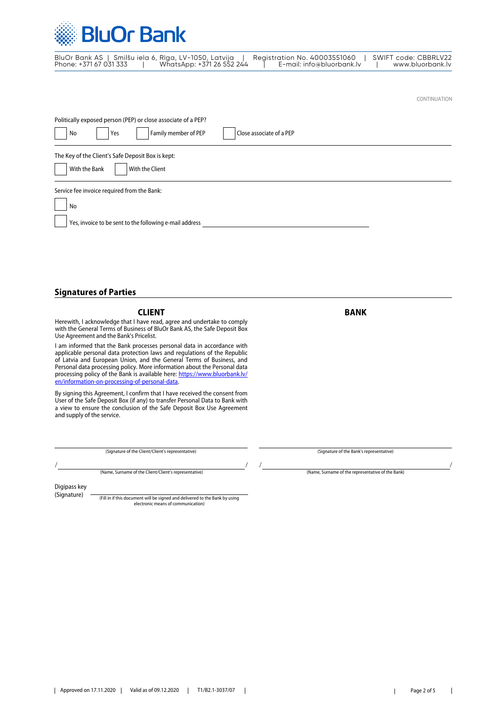

|                        | BluOr Bank AS   Smilšu iela 6, Rīga, LV-1050, Latvija | Registration No. 40003551060 | SWIFT code: CBBRLV22 |
|------------------------|-------------------------------------------------------|------------------------------|----------------------|
| Phone: +371 67 031 333 | WhatsApp: +371 26 552 244                             | E-mail: info@bluorbank.lv    | www.bluorbank.lv     |

CONTINUATION

| Politically exposed person (PEP) or close associate of a PEP? |  |  |  |  |  |
|---------------------------------------------------------------|--|--|--|--|--|
| Family member of PEP<br>Close associate of a PEP<br>Yes<br>No |  |  |  |  |  |
| The Key of the Client's Safe Deposit Box is kept:             |  |  |  |  |  |
| With the Bank<br>With the Client                              |  |  |  |  |  |
| Service fee invoice required from the Bank:                   |  |  |  |  |  |
| No                                                            |  |  |  |  |  |
| Yes, invoice to be sent to the following e-mail address       |  |  |  |  |  |

### **Signatures of Parties**

**CLIENT** BANK

Herewith, I acknowledge that I have read, agree and undertake to comply with the General Terms of Business of BluOr Bank AS, the Safe Deposit Box Use Agreement and the Bank's Pricelist.

I am informed that the Bank processes personal data in accordance with applicable personal data protection laws and regulations of the Republic of Latvia and European Union, and the General Terms of Business, and Personal data processing policy. More information about the Personal data processing policy of the Bank is available here: [https://www.bluorbank.lv/](https://www.bluorbank.lv/en/information-on-processing-of-personal-data) [en/information-on-processing-of-personal-data](https://www.bluorbank.lv/en/information-on-processing-of-personal-data).

By signing this Agreement, I confirm that I have received the consent from User of the Safe Deposit Box (if any) to transfer Personal Data to Bank with a view to ensure the conclusion of the Safe Deposit Box Use Agreement and supply of the service.

(Signature of the Client/Client's representative) (Signature of the Bank's representative)

(Name, Surname of the Client/Client's representative) (Name, Surname of the representative of the Bank) / / / /

Digipass key (Signature)

(Fill in if this document will be signed and delivered to the Bank by using electronic means of communication)

 $\overline{\phantom{a}}$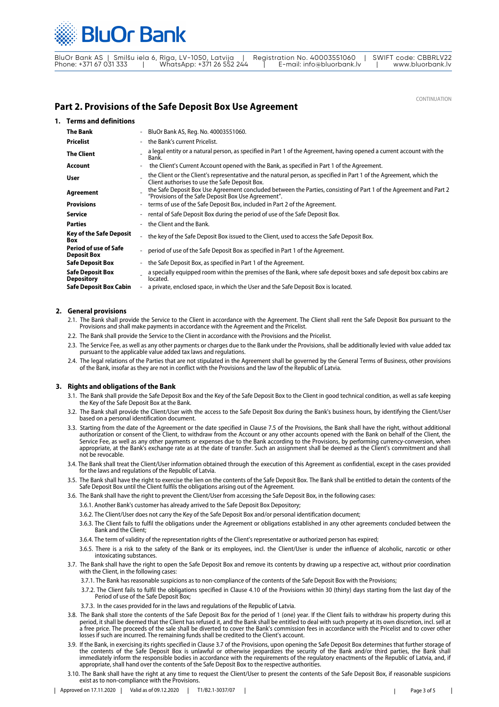

BluOr Bank AS | Smilšu iela 6, Rīga, LV-1050, Latvija | Registration No. 40003551060 | SWIFT code: CBBRLV22 Phone: +371 67 031 333 | WhatsApp: +371 26 552 244 | E-mail: info@bluorbank.lv | www.bluorbank.lv

CONTINUATION

## **Part 2. Provisions of the Safe Deposit Box Use Agreement**

| 1. Terms and definitions                     |                          |                                                                                                                                                                           |
|----------------------------------------------|--------------------------|---------------------------------------------------------------------------------------------------------------------------------------------------------------------------|
| <b>The Bank</b>                              |                          | BluOr Bank AS, Reg. No. 40003551060.                                                                                                                                      |
| <b>Pricelist</b>                             |                          | the Bank's current Pricelist.                                                                                                                                             |
| <b>The Client</b>                            |                          | a legal entity or a natural person, as specified in Part 1 of the Agreement, having opened a current account with the<br>Bank.                                            |
| Account                                      |                          | the Client's Current Account opened with the Bank, as specified in Part 1 of the Agreement.                                                                               |
| User                                         |                          | the Client or the Client's representative and the natural person, as specified in Part 1 of the Agreement, which the<br>Client authorises to use the Safe Deposit Box.    |
| Agreement                                    |                          | the Safe Deposit Box Use Agreement concluded between the Parties, consisting of Part 1 of the Agreement and Part 2<br>"Provisions of the Safe Deposit Box Use Agreement". |
| <b>Provisions</b>                            | $\overline{\phantom{0}}$ | terms of use of the Safe Deposit Box, included in Part 2 of the Agreement.                                                                                                |
| <b>Service</b>                               |                          | rental of Safe Deposit Box during the period of use of the Safe Deposit Box.                                                                                              |
| <b>Parties</b>                               |                          | the Client and the Bank.                                                                                                                                                  |
| <b>Key of the Safe Deposit</b><br>Box        | $\overline{\phantom{0}}$ | the key of the Safe Deposit Box issued to the Client, used to access the Safe Deposit Box.                                                                                |
| Period of use of Safe<br><b>Deposit Box</b>  | $\sim$                   | period of use of the Safe Deposit Box as specified in Part 1 of the Agreement.                                                                                            |
| <b>Safe Deposit Box</b>                      |                          | the Safe Deposit Box, as specified in Part 1 of the Agreement.                                                                                                            |
| <b>Safe Deposit Box</b><br><b>Depository</b> |                          | a specially equipped room within the premises of the Bank, where safe deposit boxes and safe deposit box cabins are<br>located.                                           |
| <b>Safe Deposit Box Cabin</b>                | $\overline{\phantom{a}}$ | a private, enclosed space, in which the User and the Safe Deposit Box is located.                                                                                         |

#### **2. General provisions**

- 2.1. The Bank shall provide the Service to the Client in accordance with the Agreement. The Client shall rent the Safe Deposit Box pursuant to the Provisions and shall make payments in accordance with the Agreement and the Pricelist.
- 2.2. The Bank shall provide the Service to the Client in accordance with the Provisions and the Pricelist.
- 2.3. The Service Fee, as well as any other payments or charges due to the Bank under the Provisions, shall be additionally levied with value added tax pursuant to the applicable value added tax laws and regulations.
- 2.4. The legal relations of the Parties that are not stipulated in the Agreement shall be governed by the General Terms of Business, other provisions of the Bank, insofar as they are not in conflict with the Provisions and the law of the Republic of Latvia.

#### **3. Rights and obligations of the Bank**

- 3.1. The Bank shall provide the Safe Deposit Box and the Key of the Safe Deposit Box to the Client in good technical condition, as well as safe keeping the Key of the Safe Deposit Box at the Bank.
- 3.2. The Bank shall provide the Client/User with the access to the Safe Deposit Box during the Bank's business hours, by identifying the Client/User based on a personal identification document.
- 3.3. Starting from the date of the Agreement or the date specified in Clause 7.5 of the Provisions, the Bank shall have the right, without additional authorization or consent of the Client, to withdraw from the Account or any other accounts opened with the Bank on behalf of the Client, the Service Fee, as well as any other payments or expenses due to the Bank according to the Provisions, by performing currency-conversion, when appropriate, at the Bank's exchange rate as at the date of transfer. Such an assignment shall be deemed as the Client's commitment and shall not be revocable.
- 3.4. The Bank shall treat the Client/User information obtained through the execution of this Agreement as confidential, except in the cases provided for the laws and regulations of the Republic of Latvia.
- 3.5. The Bank shall have the right to exercise the lien on the contents of the Safe Deposit Box. The Bank shall be entitled to detain the contents of the Safe Deposit Box until the Client fulfils the obligations arising out of the Agreement.
- 3.6. The Bank shall have the right to prevent the Client/User from accessing the Safe Deposit Box, in the following cases:
	- 3.6.1. Another Bank's customer has already arrived to the Safe Deposit Box Depository;
	- 3.6.2. The Client/User does not carry the Key of the Safe Deposit Box and/or personal identification document;
	- 3.6.3. The Client fails to fulfil the obligations under the Agreement or obligations established in any other agreements concluded between the Bank and the Client;
	- 3.6.4. The term of validity of the representation rights of the Client's representative or authorized person has expired;
	- 3.6.5. There is a risk to the safety of the Bank or its employees, incl. the Client/User is under the influence of alcoholic, narcotic or other intoxicating substances.
- 3.7. The Bank shall have the right to open the Safe Deposit Box and remove its contents by drawing up a respective act, without prior coordination with the Client, in the following cases:
	- 3.7.1. The Bank has reasonable suspicions as to non-compliance of the contents of the Safe Deposit Box with the Provisions;
	- 3.7.2. The Client fails to fulfil the obligations specified in Clause 4.10 of the Provisions within 30 (thirty) days starting from the last day of the Period of use of the Safe Deposit Box;
	- 3.7.3. In the cases provided for in the laws and regulations of the Republic of Latvia.
- 3.8. The Bank shall store the contents of the Safe Deposit Box for the period of 1 (one) year. If the Client fails to withdraw his property during this period, it shall be deemed that the Client has refused it, and the Bank shall be entitled to deal with such property at its own discretion, incl. sell at a free price. The proceeds of the sale shall be diverted to cover the Bank's commission fees in accordance with the Pricelist and to cover other losses if such are incurred. The remaining funds shall be credited to the Client's account
- 3.9. If the Bank, in exercising its rights specified in Clause 3.7 of the Provisions, upon opening the Safe Deposit Box determines that further storage of the contents of the Safe Deposit Box is unlawful or otherwise jeopardizes the security of the Bank and/or third parties, the Bank shall immediately inform the responsible bodies in accordance with the requirements of the regulatory enactments of the Republic of Latvia, and, if appropriate, shall hand over the contents of the Safe Deposit Box to the respective authorities.
- 3.10. The Bank shall have the right at any time to request the Client/User to present the contents of the Safe Deposit Box, if reasonable suspicions exist as to non-compliance with the Provisions.

 $\mathbf{I}$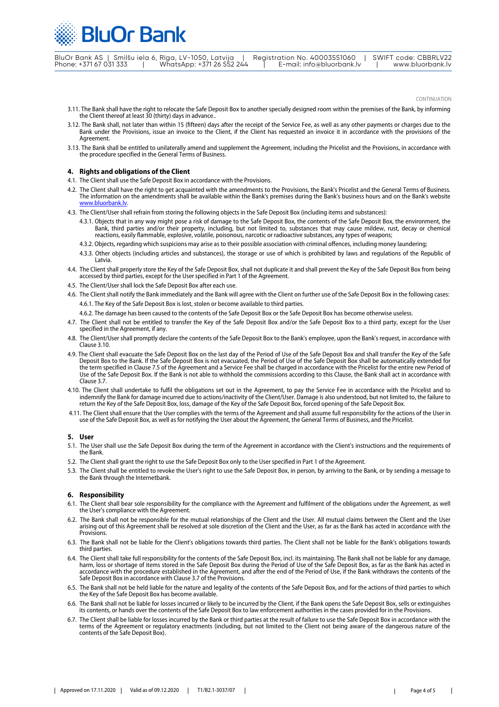**BluOr Bank** 

BluOr Bank AS | Smilšu iela 6, Rīga, LV-1050, Latvija | Registration No. 40003551060 | SWIFT code: CBBRLV22 Phone: +371 67 031 333 | WhatsApp: +371 26 552 244 | E-mail: info@bluorbank.lv | www.bluorbank.lv

CONTINUATION

- 3.11. The Bank shall have the right to relocate the Safe Deposit Box to another specially designed room within the premises of the Bank, by informing the Client thereof at least 30 (thirty) days in advance..
- 3.12. The Bank shall, not later than within 15 (fifteen) days after the receipt of the Service Fee, as well as any other payments or charges due to the Bank under the Provisions, issue an invoice to the Client, if the Client has requested an invoice it in accordance with the provisions of the Agreement.
- 3.13. The Bank shall be entitled to unilaterally amend and supplement the Agreement, including the Pricelist and the Provisions, in accordance with the procedure specified in the General Terms of Business.

#### **4. Rights and obligations of the Client**

- 4.1. The Client shall use the Safe Deposit Box in accordance with the Provisions.
- 4.2. The Client shall have the right to get acquainted with the amendments to the Provisions, the Bank's Pricelist and the General Terms of Business. The information on the amendments shall be available within the Bank's premises during the Bank's business hours and on the Bank's website [www.bluorbank.lv](https://www.bluorbank.lv/en/index)
- 4.3. The Client/User shall refrain from storing the following objects in the Safe Deposit Box (including items and substances):
	- 4.3.1. Objects that in any way might pose a risk of damage to the Safe Deposit Box, the contents of the Safe Deposit Box, the environment, the Bank, third parties and/or their property, including, but not limited to, substances that may cause mildew, rust, decay or chemical reactions, easily flammable, explosive, volatile, poisonous, narcotic or radioactive substances, any types of weapons;
	- 4.3.2. Objects, regarding which suspicions may arise as to their possible association with criminal offences, including money laundering;
	- 4.3.3. Other objects (including articles and substances), the storage or use of which is prohibited by laws and regulations of the Republic of Latvia.
- 4.4. The Client shall properly store the Key of the Safe Deposit Box, shall not duplicate it and shall prevent the Key of the Safe Deposit Box from being accessed by third parties, except for the User specified in Part 1 of the Agreement.
- 4.5. The Client/User shall lock the Safe Deposit Box after each use.
- 4.6. The Client shall notify the Bank immediately and the Bank will agree with the Client on further use of the Safe Deposit Box in the following cases: 4.6.1. The Key of the Safe Deposit Box is lost, stolen or become available to third parties.
	- 4.6.2. The damage has been caused to the contents of the Safe Deposit Box or the Safe Deposit Box has become otherwise useless.
- 4.7. The Client shall not be entitled to transfer the Key of the Safe Deposit Box and/or the Safe Deposit Box to a third party, except for the User specified in the Agreement, if any.
- 4.8. The Client/User shall promptly declare the contents of the Safe Deposit Box to the Bank's employee, upon the Bank's request, in accordance with Clause 3.10.
- 4.9. The Client shall evacuate the Safe Deposit Box on the last day of the Period of Use of the Safe Deposit Box and shall transfer the Key of the Safe Deposit Box to the Bank. If the Safe Deposit Box is not evacuated, the Period of Use of the Safe Deposit Box shall be automatically extended for the term specified in Clause 7.5 of the Agreement and a Service Fee shall be charged in accordance with the Pricelist for the entire new Period of Use of the Safe Deposit Box. If the Bank is not able to withhold the commissions according to this Clause, the Bank shall act in accordance with Clause 3.7.
- 4.10. The Client shall undertake to fulfil the obligations set out in the Agreement, to pay the Service Fee in accordance with the Pricelist and to indemnify the Bank for damage incurred due to actions/inactivity of the Client/User. Damage is also understood, but not limited to, the failure to return the Key of the Safe Deposit Box, loss, damage of the Key of the Safe Deposit Box, forced opening of the Safe Deposit Box.
- 4.11. The Client shall ensure that the User complies with the terms of the Agreement and shall assume full responsibility for the actions of the User in use of the Safe Deposit Box, as well as for notifying the User about the Agreement, the General Terms of Business, and the Pricelist.

#### **5. User**

- 5.1. The User shall use the Safe Deposit Box during the term of the Agreement in accordance with the Client's instructions and the requirements of the Bank.
- 5.2. The Client shall grant the right to use the Safe Deposit Box only to the User specified in Part 1 of the Agreement.
- 5.3. The Client shall be entitled to revoke the User's right to use the Safe Deposit Box, in person, by arriving to the Bank, or by sending a message to the Bank through the Internetbank.

#### **6. Responsibility**

- 6.1. The Client shall bear sole responsibility for the compliance with the Agreement and fulfilment of the obligations under the Agreement, as well the User's compliance with the Agreement.
- 6.2. The Bank shall not be responsible for the mutual relationships of the Client and the User. All mutual claims between the Client and the User arising out of this Agreement shall be resolved at sole discretion of the Client and the User, as far as the Bank has acted in accordance with the **Provisions**
- 6.3. The Bank shall not be liable for the Client's obligations towards third parties. The Client shall not be liable for the Bank's obligations towards third parties.
- 6.4. The Client shall take full responsibility for the contents of the Safe Deposit Box, incl. its maintaining. The Bank shall not be liable for any damage, harm, loss or shortage of items stored in the Safe Deposit Box during the Period of Use of the Safe Deposit Box, as far as the Bank has acted in accordance with the procedure established in the Agreement, and after the end of the Period of Use, if the Bank withdraws the contents of the Safe Deposit Box in accordance with Clause 3.7 of the Provisions.
- 6.5. The Bank shall not be held liable for the nature and legality of the contents of the Safe Deposit Box, and for the actions of third parties to which the Key of the Safe Deposit Box has become available.
- 6.6. The Bank shall not be liable for losses incurred or likely to be incurred by the Client, if the Bank opens the Safe Deposit Box, sells or extinguishes its contents, or hands over the contents of the Safe Deposit Box to law enforcement authorities in the cases provided for in the Provisions.
- 6.7. The Client shall be liable for losses incurred by the Bank or third parties at the result of failure to use the Safe Deposit Box in accordance with the terms of the Agreement or regulatory enactments (including, but not limited to the Client not being aware of the dangerous nature of the contents of the Safe Deposit Box).

 $\mathbf{I}$